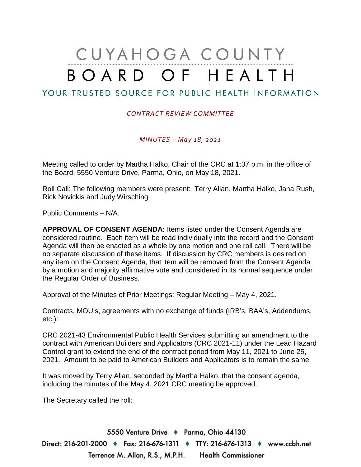# CUYAHOGA COUNTY BOARD OF HEALTH

# YOUR TRUSTED SOURCE FOR PUBLIC HEALTH INFORMATION

## *CONTRACT REVIEW COMMITTEE*

*MINUTES – May 18, 2021*

Meeting called to order by Martha Halko, Chair of the CRC at 1:37 p.m. in the office of the Board, 5550 Venture Drive, Parma, Ohio, on May 18, 2021.

Roll Call: The following members were present: Terry Allan, Martha Halko, Jana Rush, Rick Novickis and Judy Wirsching

Public Comments – N/A.

**APPROVAL OF CONSENT AGENDA:** Items listed under the Consent Agenda are considered routine. Each item will be read individually into the record and the Consent Agenda will then be enacted as a whole by one motion and one roll call. There will be no separate discussion of these items. If discussion by CRC members is desired on any item on the Consent Agenda, that item will be removed from the Consent Agenda by a motion and majority affirmative vote and considered in its normal sequence under the Regular Order of Business.

Approval of the Minutes of Prior Meetings: Regular Meeting – May 4, 2021.

Contracts, MOU's, agreements with no exchange of funds (IRB's, BAA's, Addendums, etc.):

CRC 2021-43 Environmental Public Health Services submitting an amendment to the contract with American Builders and Applicators (CRC 2021-11) under the Lead Hazard Control grant to extend the end of the contract period from May 11, 2021 to June 25, 2021. Amount to be paid to American Builders and Applicators is to remain the same.

It was moved by Terry Allan, seconded by Martha Halko, that the consent agenda, including the minutes of the May 4, 2021 CRC meeting be approved.

The Secretary called the roll:

5550 Venture Drive + Parma, Ohio 44130 Direct: 216-201-2000 ♦ Fax: 216-676-1311 ♦ TTY: 216-676-1313 ♦ www.ccbh.net Terrence M. Allan, R.S., M.P.H. Health Commissioner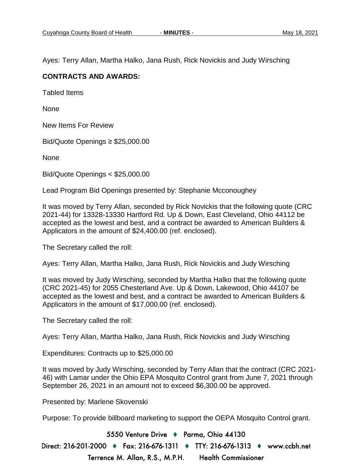Ayes: Terry Allan, Martha Halko, Jana Rush, Rick Novickis and Judy Wirsching

## **CONTRACTS AND AWARDS:**

Tabled Items

None

New Items For Review

Bid/Quote Openings ≥ \$25,000.00

None

Bid/Quote Openings < \$25,000.00

Lead Program Bid Openings presented by: Stephanie Mcconoughey

It was moved by Terry Allan, seconded by Rick Novickis that the following quote (CRC 2021-44) for 13328-13330 Hartford Rd. Up & Down, East Cleveland, Ohio 44112 be accepted as the lowest and best, and a contract be awarded to American Builders & Applicators in the amount of \$24,400.00 (ref. enclosed).

The Secretary called the roll:

Ayes: Terry Allan, Martha Halko, Jana Rush, Rick Novickis and Judy Wirsching

It was moved by Judy Wirsching, seconded by Martha Halko that the following quote (CRC 2021-45) for 2055 Chesterland Ave. Up & Down, Lakewood, Ohio 44107 be accepted as the lowest and best, and a contract be awarded to American Builders & Applicators in the amount of \$17,000.00 (ref. enclosed).

The Secretary called the roll:

Ayes: Terry Allan, Martha Halko, Jana Rush, Rick Novickis and Judy Wirsching

Expenditures: Contracts up to \$25,000.00

It was moved by Judy Wirsching, seconded by Terry Allan that the contract (CRC 2021- 46) with Lamar under the Ohio EPA Mosquito Control grant from June 7, 2021 through September 26, 2021 in an amount not to exceed \$6,300.00 be approved.

Presented by: Marlene Skovenski

Purpose: To provide billboard marketing to support the OEPA Mosquito Control grant.

5550 Venture Drive + Parma, Ohio 44130 Direct: 216-201-2000 ♦ Fax: 216-676-1311 ♦ TTY: 216-676-1313 ♦ www.ccbh.net Terrence M. Allan, R.S., M.P.H. **Health Commissioner**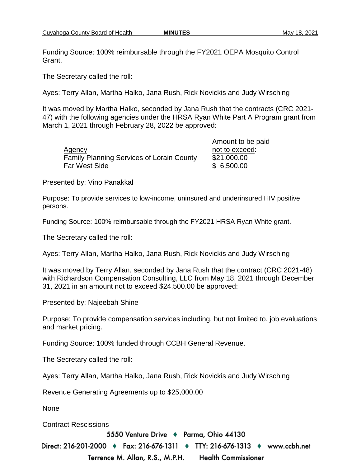Funding Source: 100% reimbursable through the FY2021 OEPA Mosquito Control Grant.

The Secretary called the roll:

Ayes: Terry Allan, Martha Halko, Jana Rush, Rick Novickis and Judy Wirsching

It was moved by Martha Halko, seconded by Jana Rush that the contracts (CRC 2021- 47) with the following agencies under the HRSA Ryan White Part A Program grant from March 1, 2021 through February 28, 2022 be approved:

|                                                  | Amount to be paid |
|--------------------------------------------------|-------------------|
| Agency                                           | not to exceed:    |
| <b>Family Planning Services of Lorain County</b> | \$21,000.00       |
| <b>Far West Side</b>                             | \$6,500.00        |

Presented by: Vino Panakkal

Purpose: To provide services to low-income, uninsured and underinsured HIV positive persons.

Funding Source: 100% reimbursable through the FY2021 HRSA Ryan White grant.

The Secretary called the roll:

Ayes: Terry Allan, Martha Halko, Jana Rush, Rick Novickis and Judy Wirsching

It was moved by Terry Allan, seconded by Jana Rush that the contract (CRC 2021-48) with Richardson Compensation Consulting, LLC from May 18, 2021 through December 31, 2021 in an amount not to exceed \$24,500.00 be approved:

Presented by: Najeebah Shine

Purpose: To provide compensation services including, but not limited to, job evaluations and market pricing.

Funding Source: 100% funded through CCBH General Revenue.

The Secretary called the roll:

Ayes: Terry Allan, Martha Halko, Jana Rush, Rick Novickis and Judy Wirsching

Revenue Generating Agreements up to \$25,000.00

None

Contract Rescissions

5550 Venture Drive + Parma, Ohio 44130

Direct: 216-201-2000 ♦ Fax: 216-676-1311 ♦ TTY: 216-676-1313 ♦ www.ccbh.net

Terrence M. Allan, R.S., M.P.H. **Health Commissioner**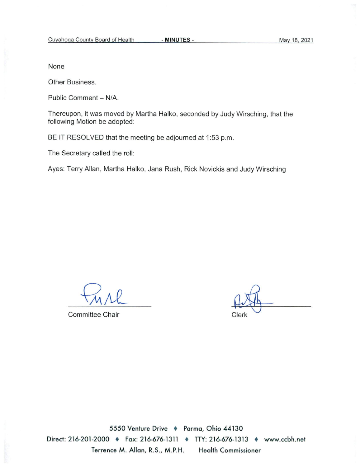None

Other Business.

Public Comment - N/A.

Thereupon, it was moved by Martha Halko, seconded by Judy Wirsching, that the following Motion be adopted:

BE IT RESOLVED that the meeting be adjourned at 1:53 p.m.

The Secretary called the roll:

Ayes: Terry Allan, Martha Halko, Jana Rush, Rick Novickis and Judy Wirsching

Committee Chair

Clerk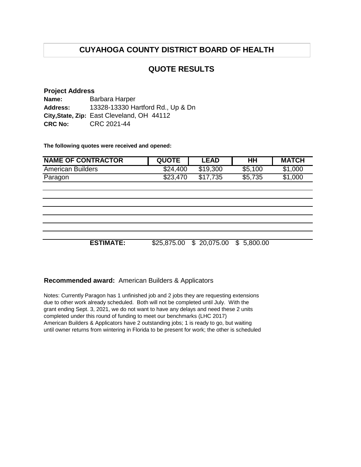# **CUYAHOGA COUNTY DISTRICT BOARD OF HEALTH**

## **QUOTE RESULTS**

#### **Project Address Name: Address: City,State, Zip:** East Cleveland, OH 44112 **CRC No:** CRC 2021-44 Barbara Harper 13328-13330 Hartford Rd., Up & Dn

**The following quotes were received and opened:**

| <b>NAME OF CONTRACTOR</b> | <b>QUOTE</b> | LEAD     | HΗ      | <b>MATCH</b> |
|---------------------------|--------------|----------|---------|--------------|
| <b>American Builders</b>  | \$24,400     | \$19,300 | \$5,100 | \$1,000      |
| Paragon                   | \$23,470     | \$17.735 | \$5,735 | \$1,000      |

**ESTIMATE:** \$25,875.00 \$ 20,075.00 \$ 5,800.00

### **Recommended award:** American Builders & Applicators

Notes: Currently Paragon has 1 unfinished job and 2 jobs they are requesting extensions due to other work already scheduled. Both will not be completed until July. With the grant ending Sept. 3, 2021, we do not want to have any delays and need these 2 units completed under this round of funding to meet our benchmarks (LHC 2017) American Builders & Applicators have 2 outstanding jobs; 1 is ready to go, but waiting until owner returns from wintering in Florida to be present for work; the other is scheduled